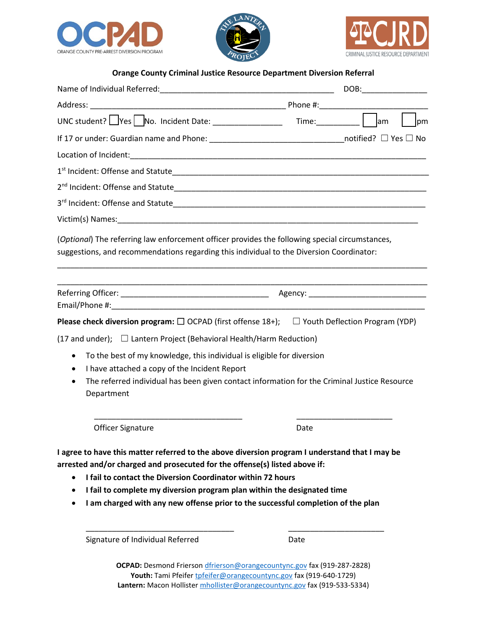





**Orange County Criminal Justice Resource Department Diversion Referral**

|                                                                                                                                                                                                                                                                                                                                                                                                                                   | <b>l</b> pm |
|-----------------------------------------------------------------------------------------------------------------------------------------------------------------------------------------------------------------------------------------------------------------------------------------------------------------------------------------------------------------------------------------------------------------------------------|-------------|
| If 17 or under: Guardian name and Phone: ___________________________________notified? $\Box$ Yes $\Box$ No                                                                                                                                                                                                                                                                                                                        |             |
|                                                                                                                                                                                                                                                                                                                                                                                                                                   |             |
|                                                                                                                                                                                                                                                                                                                                                                                                                                   |             |
|                                                                                                                                                                                                                                                                                                                                                                                                                                   |             |
|                                                                                                                                                                                                                                                                                                                                                                                                                                   |             |
|                                                                                                                                                                                                                                                                                                                                                                                                                                   |             |
| (Optional) The referring law enforcement officer provides the following special circumstances,<br>suggestions, and recommendations regarding this individual to the Diversion Coordinator:                                                                                                                                                                                                                                        |             |
|                                                                                                                                                                                                                                                                                                                                                                                                                                   |             |
|                                                                                                                                                                                                                                                                                                                                                                                                                                   |             |
| <b>Please check diversion program:</b> $\Box$ OCPAD (first offense 18+); $\Box$ Youth Deflection Program (YDP)                                                                                                                                                                                                                                                                                                                    |             |
| (17 and under); $\Box$ Lantern Project (Behavioral Health/Harm Reduction)                                                                                                                                                                                                                                                                                                                                                         |             |
| To the best of my knowledge, this individual is eligible for diversion<br>$\bullet$                                                                                                                                                                                                                                                                                                                                               |             |
| I have attached a copy of the Incident Report<br>$\bullet$                                                                                                                                                                                                                                                                                                                                                                        |             |
| The referred individual has been given contact information for the Criminal Justice Resource<br>$\bullet$<br>Department                                                                                                                                                                                                                                                                                                           |             |
| <b>Officer Signature</b>                                                                                                                                                                                                                                                                                                                                                                                                          | Date        |
| I agree to have this matter referred to the above diversion program I understand that I may be<br>arrested and/or charged and prosecuted for the offense(s) listed above if:<br>I fail to contact the Diversion Coordinator within 72 hours<br>$\bullet$<br>I fail to complete my diversion program plan within the designated time<br>٠<br>I am charged with any new offense prior to the successful completion of the plan<br>٠ |             |
| Signature of Individual Referred                                                                                                                                                                                                                                                                                                                                                                                                  | Date        |

**OCPAD:** Desmond Frierson [dfrierson@orangecountync.gov](mailto:dfrierson@orangecountync.gov) fax (919-287-2828) Youth: Tami Pfeife[r tpfeifer@orangecountync.gov](mailto:tpfeifer@orangecountync.gov) fax (919-640-1729) **Lantern:** Macon Holliste[r mhollister@orangecountync.gov](mailto:mhollister@orangecountync.gov) fax (919-533-5334)